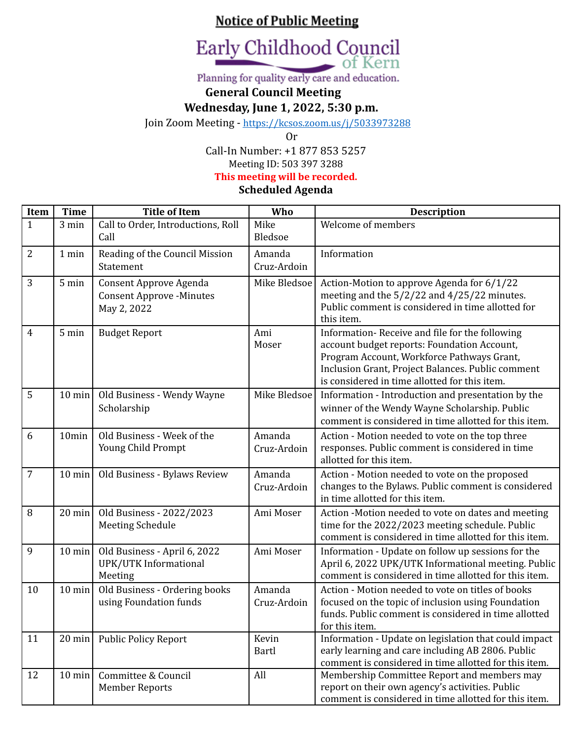# **Notice of Public Meeting**



Planning for quality early care and education.

### **General Council Meeting**

**Wednesday, June 1, 2022, 5:30 p.m.**

Join Zoom Meeting - <https://kcsos.zoom.us/j/5033973288>

Or

Call-In Number: +1 877 853 5257 Meeting ID: 503 397 3288

**This meeting will be recorded.**

**Scheduled Agenda**

| Item           | <b>Time</b>      | <b>Title of Item</b>                                                     | Who                   | <b>Description</b>                                                                                                                                                                                                                                |
|----------------|------------------|--------------------------------------------------------------------------|-----------------------|---------------------------------------------------------------------------------------------------------------------------------------------------------------------------------------------------------------------------------------------------|
| $\mathbf{1}$   | $3 \text{ min}$  | Call to Order, Introductions, Roll<br>Call                               | Mike<br>Bledsoe       | Welcome of members                                                                                                                                                                                                                                |
| $\overline{2}$ | 1 min            | Reading of the Council Mission<br>Statement                              | Amanda<br>Cruz-Ardoin | Information                                                                                                                                                                                                                                       |
| 3              | 5 min            | Consent Approve Agenda<br><b>Consent Approve -Minutes</b><br>May 2, 2022 | Mike Bledsoe          | Action-Motion to approve Agenda for 6/1/22<br>meeting and the $5/2/22$ and $4/25/22$ minutes.<br>Public comment is considered in time allotted for<br>this item.                                                                                  |
| $\overline{4}$ | 5 min            | <b>Budget Report</b>                                                     | Ami<br>Moser          | Information-Receive and file for the following<br>account budget reports: Foundation Account,<br>Program Account, Workforce Pathways Grant,<br>Inclusion Grant, Project Balances. Public comment<br>is considered in time allotted for this item. |
| $\overline{5}$ | $10 \text{ min}$ | Old Business - Wendy Wayne<br>Scholarship                                | Mike Bledsoe          | Information - Introduction and presentation by the<br>winner of the Wendy Wayne Scholarship. Public<br>comment is considered in time allotted for this item.                                                                                      |
| 6              | 10min            | Old Business - Week of the<br>Young Child Prompt                         | Amanda<br>Cruz-Ardoin | Action - Motion needed to vote on the top three<br>responses. Public comment is considered in time<br>allotted for this item.                                                                                                                     |
| $\overline{7}$ | $10$ min         | Old Business - Bylaws Review                                             | Amanda<br>Cruz-Ardoin | Action - Motion needed to vote on the proposed<br>changes to the Bylaws. Public comment is considered<br>in time allotted for this item.                                                                                                          |
| 8              | $20 \text{ min}$ | Old Business - 2022/2023<br><b>Meeting Schedule</b>                      | Ami Moser             | Action -Motion needed to vote on dates and meeting<br>time for the 2022/2023 meeting schedule. Public<br>comment is considered in time allotted for this item.                                                                                    |
| 9              | $10$ min         | Old Business - April 6, 2022<br>UPK/UTK Informational<br>Meeting         | Ami Moser             | Information - Update on follow up sessions for the<br>April 6, 2022 UPK/UTK Informational meeting. Public<br>comment is considered in time allotted for this item.                                                                                |
| 10             | $10 \text{ min}$ | Old Business - Ordering books<br>using Foundation funds                  | Amanda<br>Cruz-Ardoin | Action - Motion needed to vote on titles of books<br>focused on the topic of inclusion using Foundation<br>funds. Public comment is considered in time allotted<br>for this item.                                                                 |
| 11             | $20$ min         | <b>Public Policy Report</b>                                              | Kevin<br><b>Bartl</b> | Information - Update on legislation that could impact<br>early learning and care including AB 2806. Public<br>comment is considered in time allotted for this item.                                                                               |
| 12             | $10 \text{ min}$ | Committee & Council<br><b>Member Reports</b>                             | All                   | Membership Committee Report and members may<br>report on their own agency's activities. Public<br>comment is considered in time allotted for this item.                                                                                           |